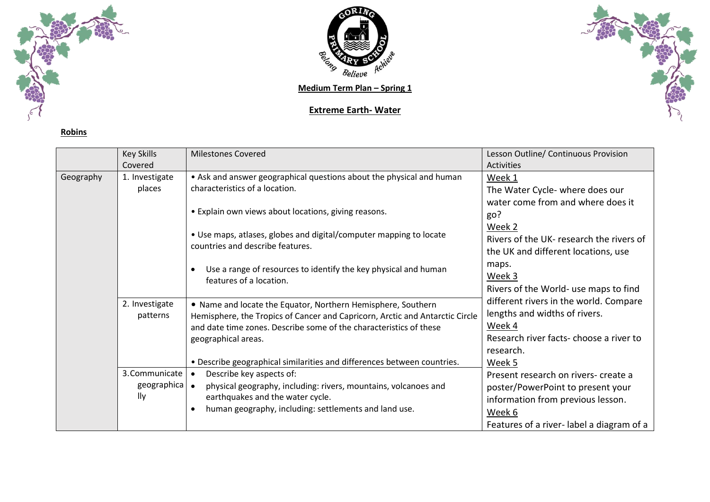

**Robins**



**Medium Term Plan - Spring 1** 

## **Extreme Earth- Water**



|           | <b>Key Skills</b><br>Covered         | <b>Milestones Covered</b>                                                                                                                                                                                                                                                        | Lesson Outline/ Continuous Provision<br><b>Activities</b>                                                                                                                      |
|-----------|--------------------------------------|----------------------------------------------------------------------------------------------------------------------------------------------------------------------------------------------------------------------------------------------------------------------------------|--------------------------------------------------------------------------------------------------------------------------------------------------------------------------------|
| Geography | 1. Investigate<br>places             | • Ask and answer geographical questions about the physical and human<br>characteristics of a location.                                                                                                                                                                           | Week 1<br>The Water Cycle- where does our                                                                                                                                      |
|           |                                      | • Explain own views about locations, giving reasons.                                                                                                                                                                                                                             | water come from and where does it<br>go?                                                                                                                                       |
|           |                                      | • Use maps, atlases, globes and digital/computer mapping to locate<br>countries and describe features.                                                                                                                                                                           | Week 2<br>Rivers of the UK- research the rivers of<br>the UK and different locations, use                                                                                      |
|           |                                      | Use a range of resources to identify the key physical and human<br>features of a location.                                                                                                                                                                                       | maps.<br>Week 3<br>Rivers of the World- use maps to find                                                                                                                       |
|           | 2. Investigate<br>patterns           | • Name and locate the Equator, Northern Hemisphere, Southern<br>Hemisphere, the Tropics of Cancer and Capricorn, Arctic and Antarctic Circle<br>and date time zones. Describe some of the characteristics of these<br>geographical areas.                                        | different rivers in the world. Compare<br>lengths and widths of rivers.<br>Week 4<br>Research river facts- choose a river to<br>research.                                      |
|           | 3. Communicate<br>geographica<br>lly | . Describe geographical similarities and differences between countries.<br>Describe key aspects of:<br>$\bullet$<br>physical geography, including: rivers, mountains, volcanoes and<br>earthquakes and the water cycle.<br>human geography, including: settlements and land use. | Week 5<br>Present research on rivers- create a<br>poster/PowerPoint to present your<br>information from previous lesson.<br>Week 6<br>Features of a river-label a diagram of a |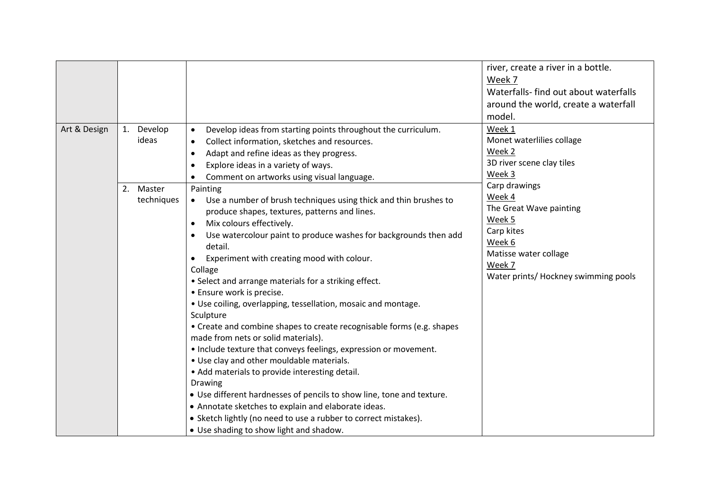| Art & Design | 1. Develop              | Develop ideas from starting points throughout the curriculum.<br>$\bullet$                                                                                                                                                                                                                                                                                                                                                                                                                                                                                                                                                                                                                                                                                                                                                                                                                                                                                                                                                            | river, create a river in a bottle.<br>Week 7<br>Waterfalls-find out about waterfalls<br>around the world, create a waterfall<br>model.<br>Week 1                |
|--------------|-------------------------|---------------------------------------------------------------------------------------------------------------------------------------------------------------------------------------------------------------------------------------------------------------------------------------------------------------------------------------------------------------------------------------------------------------------------------------------------------------------------------------------------------------------------------------------------------------------------------------------------------------------------------------------------------------------------------------------------------------------------------------------------------------------------------------------------------------------------------------------------------------------------------------------------------------------------------------------------------------------------------------------------------------------------------------|-----------------------------------------------------------------------------------------------------------------------------------------------------------------|
|              | ideas                   | Collect information, sketches and resources.<br>$\bullet$<br>Adapt and refine ideas as they progress.<br>$\bullet$<br>Explore ideas in a variety of ways.<br>Comment on artworks using visual language.                                                                                                                                                                                                                                                                                                                                                                                                                                                                                                                                                                                                                                                                                                                                                                                                                               | Monet waterlilies collage<br>Week 2<br>3D river scene clay tiles<br>Week 3                                                                                      |
|              | 2. Master<br>techniques | Painting<br>Use a number of brush techniques using thick and thin brushes to<br>produce shapes, textures, patterns and lines.<br>Mix colours effectively.<br>$\bullet$<br>Use watercolour paint to produce washes for backgrounds then add<br>detail.<br>Experiment with creating mood with colour.<br>Collage<br>• Select and arrange materials for a striking effect.<br>• Ensure work is precise.<br>• Use coiling, overlapping, tessellation, mosaic and montage.<br>Sculpture<br>• Create and combine shapes to create recognisable forms (e.g. shapes<br>made from nets or solid materials).<br>• Include texture that conveys feelings, expression or movement.<br>. Use clay and other mouldable materials.<br>• Add materials to provide interesting detail.<br><b>Drawing</b><br>• Use different hardnesses of pencils to show line, tone and texture.<br>• Annotate sketches to explain and elaborate ideas.<br>• Sketch lightly (no need to use a rubber to correct mistakes).<br>• Use shading to show light and shadow. | Carp drawings<br>Week 4<br>The Great Wave painting<br>Week 5<br>Carp kites<br>Week 6<br>Matisse water collage<br>Week 7<br>Water prints/ Hockney swimming pools |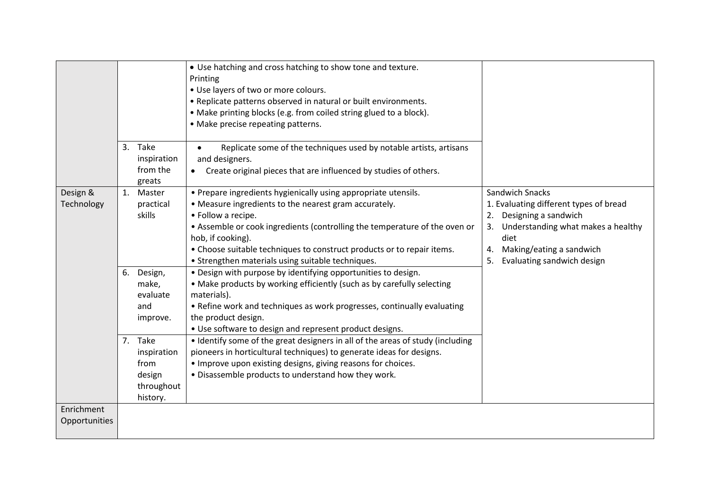|                             | 3. Take<br>inspiration<br>from the<br>greats                       | • Use hatching and cross hatching to show tone and texture.<br>Printing<br>. Use layers of two or more colours.<br>• Replicate patterns observed in natural or built environments.<br>• Make printing blocks (e.g. from coiled string glued to a block).<br>• Make precise repeating patterns.<br>Replicate some of the techniques used by notable artists, artisans<br>$\bullet$<br>and designers.<br>Create original pieces that are influenced by studies of others. |                                                                                                                                                                                                             |
|-----------------------------|--------------------------------------------------------------------|-------------------------------------------------------------------------------------------------------------------------------------------------------------------------------------------------------------------------------------------------------------------------------------------------------------------------------------------------------------------------------------------------------------------------------------------------------------------------|-------------------------------------------------------------------------------------------------------------------------------------------------------------------------------------------------------------|
| Design &<br>Technology      | 1. Master<br>practical<br>skills                                   | • Prepare ingredients hygienically using appropriate utensils.<br>• Measure ingredients to the nearest gram accurately.<br>• Follow a recipe.<br>• Assemble or cook ingredients (controlling the temperature of the oven or<br>hob, if cooking).<br>• Choose suitable techniques to construct products or to repair items.<br>• Strengthen materials using suitable techniques.                                                                                         | Sandwich Snacks<br>1. Evaluating different types of bread<br>2. Designing a sandwich<br>3. Understanding what makes a healthy<br>diet<br>Making/eating a sandwich<br>4.<br>Evaluating sandwich design<br>5. |
|                             | 6. Design,<br>make,<br>evaluate<br>and<br>improve.                 | . Design with purpose by identifying opportunities to design.<br>• Make products by working efficiently (such as by carefully selecting<br>materials).<br>• Refine work and techniques as work progresses, continually evaluating<br>the product design.<br>• Use software to design and represent product designs.                                                                                                                                                     |                                                                                                                                                                                                             |
|                             | 7. Take<br>inspiration<br>from<br>design<br>throughout<br>history. | • Identify some of the great designers in all of the areas of study (including<br>pioneers in horticultural techniques) to generate ideas for designs.<br>• Improve upon existing designs, giving reasons for choices.<br>• Disassemble products to understand how they work.                                                                                                                                                                                           |                                                                                                                                                                                                             |
| Enrichment<br>Opportunities |                                                                    |                                                                                                                                                                                                                                                                                                                                                                                                                                                                         |                                                                                                                                                                                                             |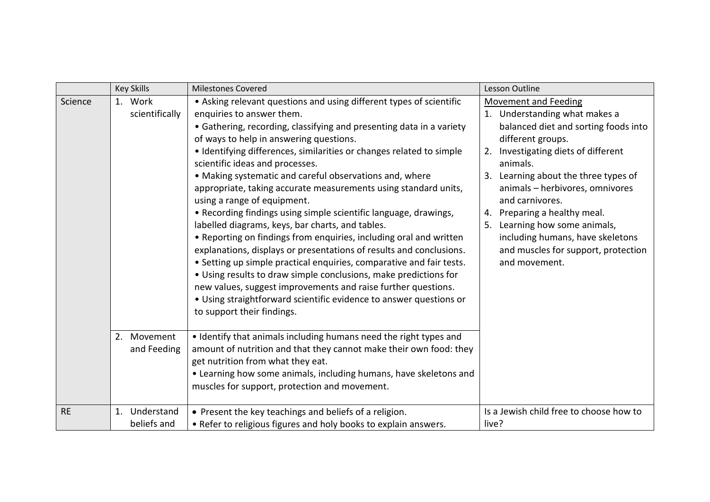|           | <b>Key Skills</b>            | <b>Milestones Covered</b>                                                                                                                                                                                                                                                                                                                                                                                                                                                                                                                                                                                                                                                                                                                                                                                                                                                                                                                                                                                                                                                         | Lesson Outline                                                                                                                                                                                                                                                                                                                                                                                                                          |
|-----------|------------------------------|-----------------------------------------------------------------------------------------------------------------------------------------------------------------------------------------------------------------------------------------------------------------------------------------------------------------------------------------------------------------------------------------------------------------------------------------------------------------------------------------------------------------------------------------------------------------------------------------------------------------------------------------------------------------------------------------------------------------------------------------------------------------------------------------------------------------------------------------------------------------------------------------------------------------------------------------------------------------------------------------------------------------------------------------------------------------------------------|-----------------------------------------------------------------------------------------------------------------------------------------------------------------------------------------------------------------------------------------------------------------------------------------------------------------------------------------------------------------------------------------------------------------------------------------|
| Science   | 1. Work<br>scientifically    | • Asking relevant questions and using different types of scientific<br>enquiries to answer them.<br>• Gathering, recording, classifying and presenting data in a variety<br>of ways to help in answering questions.<br>• Identifying differences, similarities or changes related to simple<br>scientific ideas and processes.<br>• Making systematic and careful observations and, where<br>appropriate, taking accurate measurements using standard units,<br>using a range of equipment.<br>• Recording findings using simple scientific language, drawings,<br>labelled diagrams, keys, bar charts, and tables.<br>• Reporting on findings from enquiries, including oral and written<br>explanations, displays or presentations of results and conclusions.<br>• Setting up simple practical enquiries, comparative and fair tests.<br>• Using results to draw simple conclusions, make predictions for<br>new values, suggest improvements and raise further questions.<br>• Using straightforward scientific evidence to answer questions or<br>to support their findings. | <b>Movement and Feeding</b><br>1. Understanding what makes a<br>balanced diet and sorting foods into<br>different groups.<br>2. Investigating diets of different<br>animals.<br>3. Learning about the three types of<br>animals - herbivores, omnivores<br>and carnivores.<br>4. Preparing a healthy meal.<br>5. Learning how some animals,<br>including humans, have skeletons<br>and muscles for support, protection<br>and movement. |
|           | 2. Movement<br>and Feeding   | • Identify that animals including humans need the right types and<br>amount of nutrition and that they cannot make their own food: they<br>get nutrition from what they eat.<br>• Learning how some animals, including humans, have skeletons and<br>muscles for support, protection and movement.                                                                                                                                                                                                                                                                                                                                                                                                                                                                                                                                                                                                                                                                                                                                                                                |                                                                                                                                                                                                                                                                                                                                                                                                                                         |
| <b>RE</b> | 1. Understand<br>beliefs and | • Present the key teachings and beliefs of a religion.<br>• Refer to religious figures and holy books to explain answers.                                                                                                                                                                                                                                                                                                                                                                                                                                                                                                                                                                                                                                                                                                                                                                                                                                                                                                                                                         | Is a Jewish child free to choose how to<br>live?                                                                                                                                                                                                                                                                                                                                                                                        |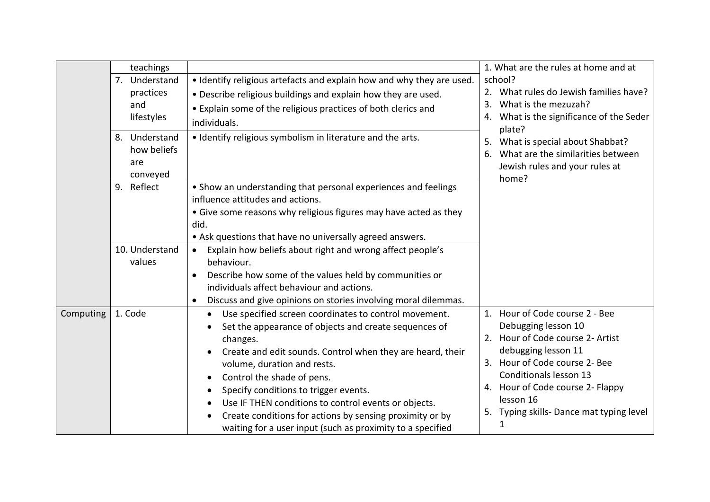|           | teachings                                       |                                                                                                                                                                                                                                                                                                                                                                                                                                                                                                                                           | 1. What are the rules at home and at                                                                                                                                                                                                                                         |
|-----------|-------------------------------------------------|-------------------------------------------------------------------------------------------------------------------------------------------------------------------------------------------------------------------------------------------------------------------------------------------------------------------------------------------------------------------------------------------------------------------------------------------------------------------------------------------------------------------------------------------|------------------------------------------------------------------------------------------------------------------------------------------------------------------------------------------------------------------------------------------------------------------------------|
|           | 7. Understand<br>practices<br>and<br>lifestyles | . Identify religious artefacts and explain how and why they are used.<br>. Describe religious buildings and explain how they are used.<br>• Explain some of the religious practices of both clerics and<br>individuals.                                                                                                                                                                                                                                                                                                                   | school?<br>2. What rules do Jewish families have?<br>What is the mezuzah?<br>3.<br>What is the significance of the Seder<br>4.<br>plate?                                                                                                                                     |
|           | 8. Understand<br>how beliefs<br>are<br>conveyed | • Identify religious symbolism in literature and the arts.                                                                                                                                                                                                                                                                                                                                                                                                                                                                                | 5. What is special about Shabbat?<br>What are the similarities between<br>6.<br>Jewish rules and your rules at<br>home?                                                                                                                                                      |
|           | 9. Reflect                                      | • Show an understanding that personal experiences and feelings<br>influence attitudes and actions.<br>• Give some reasons why religious figures may have acted as they<br>did.<br>• Ask questions that have no universally agreed answers.                                                                                                                                                                                                                                                                                                |                                                                                                                                                                                                                                                                              |
|           | 10. Understand<br>values                        | Explain how beliefs about right and wrong affect people's<br>$\bullet$<br>behaviour.<br>Describe how some of the values held by communities or<br>$\bullet$<br>individuals affect behaviour and actions.<br>Discuss and give opinions on stories involving moral dilemmas.<br>$\bullet$                                                                                                                                                                                                                                                   |                                                                                                                                                                                                                                                                              |
| Computing | 1. Code                                         | Use specified screen coordinates to control movement.<br>٠<br>Set the appearance of objects and create sequences of<br>changes.<br>Create and edit sounds. Control when they are heard, their<br>$\bullet$<br>volume, duration and rests.<br>Control the shade of pens.<br>$\bullet$<br>Specify conditions to trigger events.<br>$\bullet$<br>Use IF THEN conditions to control events or objects.<br>$\bullet$<br>Create conditions for actions by sensing proximity or by<br>waiting for a user input (such as proximity to a specified | 1. Hour of Code course 2 - Bee<br>Debugging lesson 10<br>2. Hour of Code course 2- Artist<br>debugging lesson 11<br>3. Hour of Code course 2- Bee<br>Conditionals lesson 13<br>4. Hour of Code course 2- Flappy<br>lesson 16<br>5. Typing skills-Dance mat typing level<br>1 |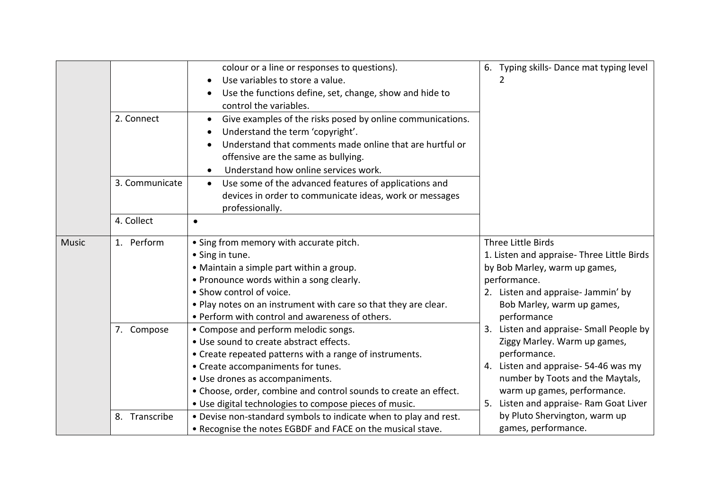|              | 2. Connect     | colour or a line or responses to questions).<br>Use variables to store a value.<br>Use the functions define, set, change, show and hide to<br>control the variables.<br>Give examples of the risks posed by online communications.<br>Understand the term 'copyright'.<br>Understand that comments made online that are hurtful or                | 6. Typing skills-Dance mat typing level<br>2                                                                                                                                                                                                   |
|--------------|----------------|---------------------------------------------------------------------------------------------------------------------------------------------------------------------------------------------------------------------------------------------------------------------------------------------------------------------------------------------------|------------------------------------------------------------------------------------------------------------------------------------------------------------------------------------------------------------------------------------------------|
|              | 3. Communicate | offensive are the same as bullying.<br>Understand how online services work.                                                                                                                                                                                                                                                                       |                                                                                                                                                                                                                                                |
|              |                | Use some of the advanced features of applications and<br>$\bullet$<br>devices in order to communicate ideas, work or messages<br>professionally.                                                                                                                                                                                                  |                                                                                                                                                                                                                                                |
|              | 4. Collect     | $\bullet$                                                                                                                                                                                                                                                                                                                                         |                                                                                                                                                                                                                                                |
| <b>Music</b> | 1. Perform     | • Sing from memory with accurate pitch.<br>• Sing in tune.<br>• Maintain a simple part within a group.<br>• Pronounce words within a song clearly.<br>• Show control of voice.<br>. Play notes on an instrument with care so that they are clear.<br>• Perform with control and awareness of others.                                              | Three Little Birds<br>1. Listen and appraise- Three Little Birds<br>by Bob Marley, warm up games,<br>performance.<br>2. Listen and appraise- Jammin' by<br>Bob Marley, warm up games,<br>performance                                           |
|              | 7. Compose     | • Compose and perform melodic songs.<br>• Use sound to create abstract effects.<br>• Create repeated patterns with a range of instruments.<br>• Create accompaniments for tunes.<br>· Use drones as accompaniments.<br>• Choose, order, combine and control sounds to create an effect.<br>• Use digital technologies to compose pieces of music. | 3. Listen and appraise- Small People by<br>Ziggy Marley. Warm up games,<br>performance.<br>4. Listen and appraise-54-46 was my<br>number by Toots and the Maytals,<br>warm up games, performance.<br>Listen and appraise- Ram Goat Liver<br>5. |
|              | 8. Transcribe  | . Devise non-standard symbols to indicate when to play and rest.<br>• Recognise the notes EGBDF and FACE on the musical stave.                                                                                                                                                                                                                    | by Pluto Shervington, warm up<br>games, performance.                                                                                                                                                                                           |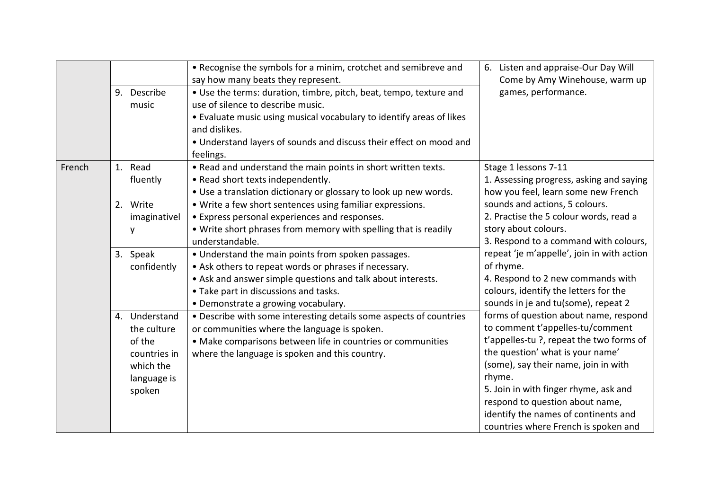|        |                                                                                              | • Recognise the symbols for a minim, crotchet and semibreve and<br>say how many beats they represent.                                                                                                                                                                               | 6. Listen and appraise-Our Day Will<br>Come by Amy Winehouse, warm up                                                                                                                                                                                                                                                                                                                                                                                                                                                                                                                                                                                                                                |
|--------|----------------------------------------------------------------------------------------------|-------------------------------------------------------------------------------------------------------------------------------------------------------------------------------------------------------------------------------------------------------------------------------------|------------------------------------------------------------------------------------------------------------------------------------------------------------------------------------------------------------------------------------------------------------------------------------------------------------------------------------------------------------------------------------------------------------------------------------------------------------------------------------------------------------------------------------------------------------------------------------------------------------------------------------------------------------------------------------------------------|
|        | 9. Describe<br>music                                                                         | • Use the terms: duration, timbre, pitch, beat, tempo, texture and<br>use of silence to describe music.<br>• Evaluate music using musical vocabulary to identify areas of likes<br>and dislikes.<br>• Understand layers of sounds and discuss their effect on mood and<br>feelings. | games, performance.                                                                                                                                                                                                                                                                                                                                                                                                                                                                                                                                                                                                                                                                                  |
| French | 1. Read<br>fluently                                                                          | . Read and understand the main points in short written texts.<br>• Read short texts independently.<br>• Use a translation dictionary or glossary to look up new words.                                                                                                              | Stage 1 lessons 7-11<br>1. Assessing progress, asking and saying<br>how you feel, learn some new French                                                                                                                                                                                                                                                                                                                                                                                                                                                                                                                                                                                              |
|        | 2. Write<br>imaginativel<br>y                                                                | • Write a few short sentences using familiar expressions.<br>• Express personal experiences and responses.<br>. Write short phrases from memory with spelling that is readily<br>understandable.                                                                                    | sounds and actions, 5 colours.<br>2. Practise the 5 colour words, read a<br>story about colours.<br>3. Respond to a command with colours,<br>repeat 'je m'appelle', join in with action<br>of rhyme.<br>4. Respond to 2 new commands with<br>colours, identify the letters for the<br>sounds in je and tu(some), repeat 2<br>forms of question about name, respond<br>to comment t'appelles-tu/comment<br>t'appelles-tu ?, repeat the two forms of<br>the question' what is your name'<br>(some), say their name, join in with<br>rhyme.<br>5. Join in with finger rhyme, ask and<br>respond to question about name,<br>identify the names of continents and<br>countries where French is spoken and |
|        | 3. Speak<br>confidently                                                                      | • Understand the main points from spoken passages.<br>• Ask others to repeat words or phrases if necessary.<br>• Ask and answer simple questions and talk about interests.<br>• Take part in discussions and tasks.<br>• Demonstrate a growing vocabulary.                          |                                                                                                                                                                                                                                                                                                                                                                                                                                                                                                                                                                                                                                                                                                      |
|        | 4. Understand<br>the culture<br>of the<br>countries in<br>which the<br>language is<br>spoken | • Describe with some interesting details some aspects of countries<br>or communities where the language is spoken.<br>• Make comparisons between life in countries or communities<br>where the language is spoken and this country.                                                 |                                                                                                                                                                                                                                                                                                                                                                                                                                                                                                                                                                                                                                                                                                      |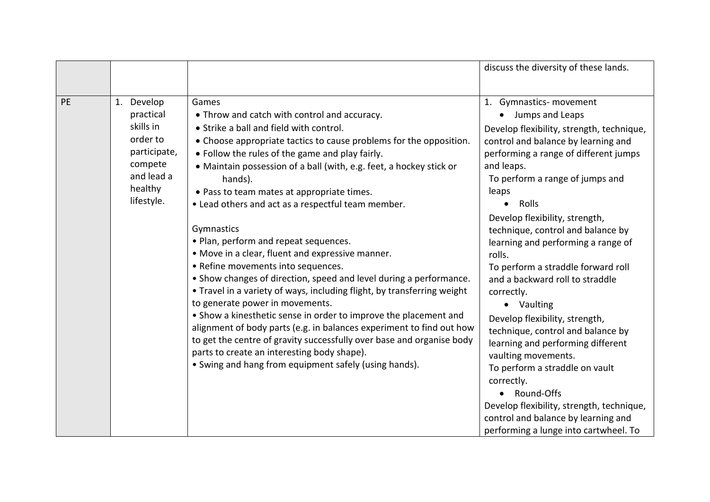|           |                                                                                                                    |                                                                                                                                                                                                                                                                                                                                                                                                                                                                                                                                                                                                                                                                                                                                                                                                                                                                                                                                                                                                                                                                                   | discuss the diversity of these lands.                                                                                                                                                                                                                                                                                                                                                                                                                                                                                                                                                                                                                                                                                                                                                                             |
|-----------|--------------------------------------------------------------------------------------------------------------------|-----------------------------------------------------------------------------------------------------------------------------------------------------------------------------------------------------------------------------------------------------------------------------------------------------------------------------------------------------------------------------------------------------------------------------------------------------------------------------------------------------------------------------------------------------------------------------------------------------------------------------------------------------------------------------------------------------------------------------------------------------------------------------------------------------------------------------------------------------------------------------------------------------------------------------------------------------------------------------------------------------------------------------------------------------------------------------------|-------------------------------------------------------------------------------------------------------------------------------------------------------------------------------------------------------------------------------------------------------------------------------------------------------------------------------------------------------------------------------------------------------------------------------------------------------------------------------------------------------------------------------------------------------------------------------------------------------------------------------------------------------------------------------------------------------------------------------------------------------------------------------------------------------------------|
|           |                                                                                                                    |                                                                                                                                                                                                                                                                                                                                                                                                                                                                                                                                                                                                                                                                                                                                                                                                                                                                                                                                                                                                                                                                                   |                                                                                                                                                                                                                                                                                                                                                                                                                                                                                                                                                                                                                                                                                                                                                                                                                   |
| <b>PE</b> | 1. Develop<br>practical<br>skills in<br>order to<br>participate,<br>compete<br>and lead a<br>healthy<br>lifestyle. | Games<br>• Throw and catch with control and accuracy.<br>• Strike a ball and field with control.<br>• Choose appropriate tactics to cause problems for the opposition.<br>• Follow the rules of the game and play fairly.<br>• Maintain possession of a ball (with, e.g. feet, a hockey stick or<br>hands).<br>• Pass to team mates at appropriate times.<br>• Lead others and act as a respectful team member.<br>Gymnastics<br>• Plan, perform and repeat sequences.<br>• Move in a clear, fluent and expressive manner.<br>• Refine movements into sequences.<br>• Show changes of direction, speed and level during a performance.<br>• Travel in a variety of ways, including flight, by transferring weight<br>to generate power in movements.<br>• Show a kinesthetic sense in order to improve the placement and<br>alignment of body parts (e.g. in balances experiment to find out how<br>to get the centre of gravity successfully over base and organise body<br>parts to create an interesting body shape).<br>• Swing and hang from equipment safely (using hands). | 1. Gymnastics- movement<br>Jumps and Leaps<br>Develop flexibility, strength, technique,<br>control and balance by learning and<br>performing a range of different jumps<br>and leaps.<br>To perform a range of jumps and<br>leaps<br>Rolls<br>$\bullet$<br>Develop flexibility, strength,<br>technique, control and balance by<br>learning and performing a range of<br>rolls.<br>To perform a straddle forward roll<br>and a backward roll to straddle<br>correctly.<br>• Vaulting<br>Develop flexibility, strength,<br>technique, control and balance by<br>learning and performing different<br>vaulting movements.<br>To perform a straddle on vault<br>correctly.<br>Round-Offs<br>Develop flexibility, strength, technique,<br>control and balance by learning and<br>performing a lunge into cartwheel. To |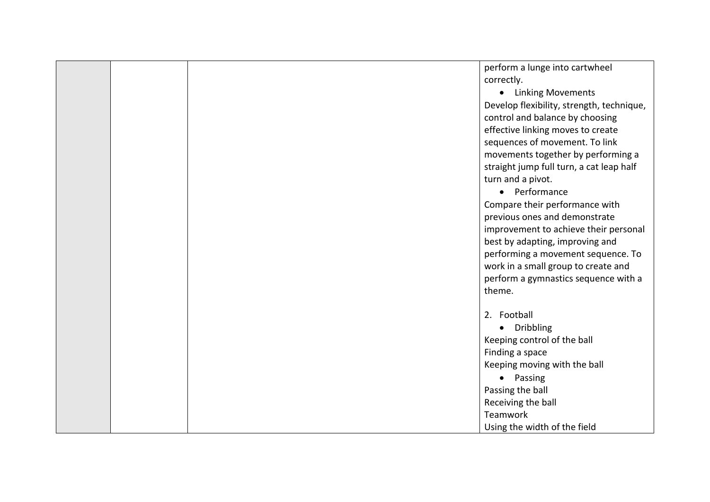|  | perform a lunge into cartwheel            |
|--|-------------------------------------------|
|  | correctly.                                |
|  |                                           |
|  | • Linking Movements                       |
|  | Develop flexibility, strength, technique, |
|  | control and balance by choosing           |
|  | effective linking moves to create         |
|  | sequences of movement. To link            |
|  | movements together by performing a        |
|  | straight jump full turn, a cat leap half  |
|  | turn and a pivot.                         |
|  | • Performance                             |
|  | Compare their performance with            |
|  | previous ones and demonstrate             |
|  | improvement to achieve their personal     |
|  | best by adapting, improving and           |
|  | performing a movement sequence. To        |
|  | work in a small group to create and       |
|  | perform a gymnastics sequence with a      |
|  | theme.                                    |
|  |                                           |
|  | 2. Football                               |
|  | • Dribbling                               |
|  | Keeping control of the ball               |
|  | Finding a space                           |
|  | Keeping moving with the ball              |
|  | • Passing                                 |
|  | Passing the ball                          |
|  |                                           |
|  | Receiving the ball                        |
|  | Teamwork                                  |
|  | Using the width of the field              |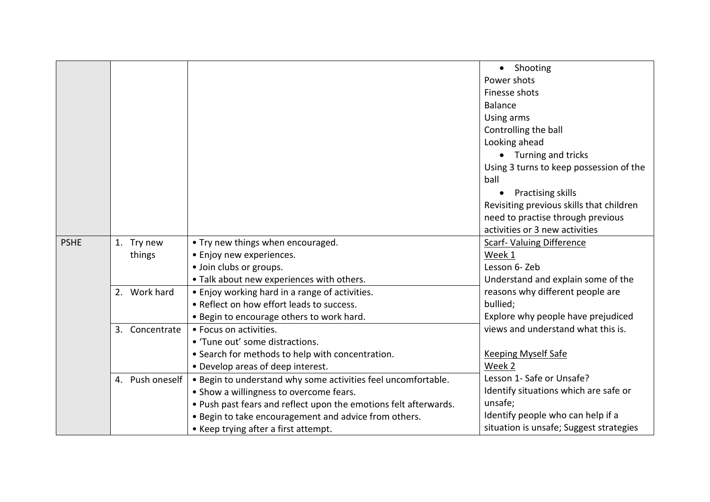|             |                 |                                                                  | • Shooting                               |
|-------------|-----------------|------------------------------------------------------------------|------------------------------------------|
|             |                 |                                                                  | Power shots                              |
|             |                 |                                                                  | Finesse shots                            |
|             |                 |                                                                  | <b>Balance</b>                           |
|             |                 |                                                                  | Using arms                               |
|             |                 |                                                                  | Controlling the ball                     |
|             |                 |                                                                  | Looking ahead                            |
|             |                 |                                                                  | • Turning and tricks                     |
|             |                 |                                                                  | Using 3 turns to keep possession of the  |
|             |                 |                                                                  | ball                                     |
|             |                 |                                                                  | <b>Practising skills</b>                 |
|             |                 |                                                                  | Revisiting previous skills that children |
|             |                 |                                                                  | need to practise through previous        |
|             |                 |                                                                  | activities or 3 new activities           |
| <b>PSHE</b> | 1. Try new      | • Try new things when encouraged.                                | <b>Scarf- Valuing Difference</b>         |
|             | things          | • Enjoy new experiences.                                         | Week 1                                   |
|             |                 | · Join clubs or groups.                                          | Lesson 6- Zeb                            |
|             |                 | . Talk about new experiences with others.                        | Understand and explain some of the       |
|             | 2. Work hard    | • Enjoy working hard in a range of activities.                   | reasons why different people are         |
|             |                 | • Reflect on how effort leads to success.                        | bullied;                                 |
|             |                 | • Begin to encourage others to work hard.                        | Explore why people have prejudiced       |
|             | 3. Concentrate  | • Focus on activities.                                           | views and understand what this is.       |
|             |                 | • 'Tune out' some distractions.                                  |                                          |
|             |                 | • Search for methods to help with concentration.                 | <b>Keeping Myself Safe</b>               |
|             |                 | • Develop areas of deep interest.                                | Week 2                                   |
|             | 4. Push oneself | . Begin to understand why some activities feel uncomfortable.    | Lesson 1- Safe or Unsafe?                |
|             |                 | • Show a willingness to overcome fears.                          | Identify situations which are safe or    |
|             |                 | . Push past fears and reflect upon the emotions felt afterwards. | unsafe;                                  |
|             |                 | . Begin to take encouragement and advice from others.            | Identify people who can help if a        |
|             |                 | • Keep trying after a first attempt.                             | situation is unsafe; Suggest strategies  |